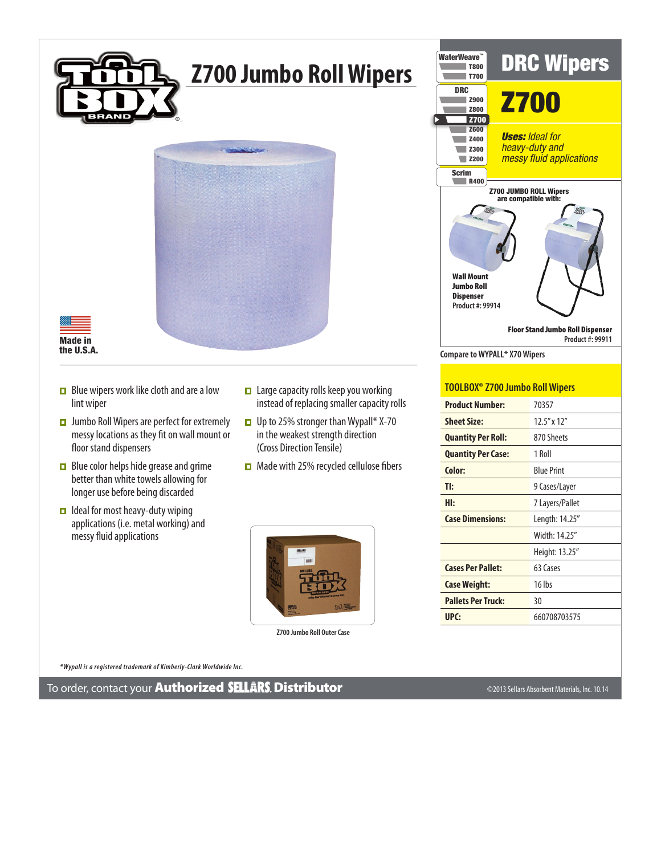

## **Z700 Jumbo Roll Wipers**





- $\Box$  Blue wipers work like cloth and are a low lint wiper
- $\Box$  Jumbo Roll Wipers are perfect for extremely messy locations as they fit on wall mount or floor stand dispensers
- $\Box$  Blue color helps hide grease and grime better than white towels allowing for longer use before being discarded
- $\Box$  Ideal for most heavy-duty wiping applications (i.e. metal working) and messy fluid applications
- $\Box$  Large capacity rolls keep you working instead of replacing smaller capacity rolls
- □ Up to 25% stronger than Wypall\* X-70 in the weakest strength direction (Cross Direction Tensile)
- $\Box$  Made with 25% recycled cellulose fibers



**Z700 Jumbo Roll Outer Case**



## **TOOLBOX® Z700 Jumbo Roll Wipers**

| <b>Product Number:</b>    | 70357             |
|---------------------------|-------------------|
| <b>Sheet Size:</b>        | $12.5''$ x $12''$ |
| <b>Quantity Per Roll:</b> | 870 Sheets        |
| <b>Quantity Per Case:</b> | 1 Roll            |
| Color:                    | <b>Blue Print</b> |
| TI:                       | 9 Cases/Layer     |
| HI:                       | 7 Layers/Pallet   |
| <b>Case Dimensions:</b>   | Length: 14.25"    |
|                           | Width: 14.25"     |
|                           | Height: 13.25"    |
| <b>Cases Per Pallet:</b>  | 63 Cases          |
| Case Weight:              | $16$ lbs          |
| <b>Pallets Per Truck:</b> | 30                |
| UPC:                      | 660708703575      |

 *\*Wypall is a registered trademark of Kimberly-Clark Worldwide Inc.*

To order, contact your Authorized Distributor ©2013 Sellars Absorbent Materials, Inc. 10.14